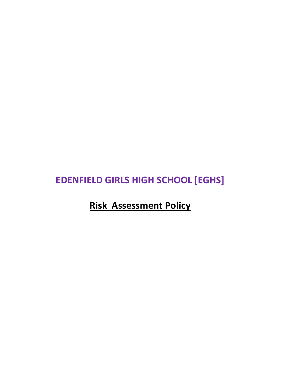# **EDENFIELD GIRLS HIGH SCHOOL [EGHS]**

**Risk Assessment Policy**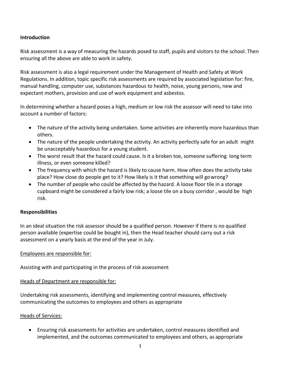# **Introduction**

Risk assessment is a way of measuring the hazards posed to staff, pupils and visitors to the school. Then ensuring all the above are able to work in safety.

Risk assessment is also a legal requirement under the Management of Health and Safety at Work Regulations. In addition, topic specific risk assessments are required by associated legislation for: fire, manual handling, computer use, substances hazardous to health, noise, young persons, new and expectant mothers, provision and use of work equipment and asbestos.

In determining whether a hazard poses a high, medium or low risk the assessor will need to take into account a number of factors:

- The nature of the activity being undertaken. Some activities are inherently more hazardous than others.
- The nature of the people undertaking the activity. An activity perfectly safe for an adult might be unacceptably hazardous for a young student.
- The worst result that the hazard could cause. Is it a broken toe, someone suffering long term illness, or even someone killed?
- The frequency with which the hazard is likely to cause harm. How often does the activity take place? How close do people get to it? How likely is it that something will gowrong?
- The number of people who could be affected by the hazard. A loose floor tile in a storage cupboard might be considered a fairly low risk; a loose tile on a busy corridor , would be high risk.

# **Responsibilities**

In an ideal situation the risk assessor should be a qualified person. However if there is no qualified person available (expertise could be bought in), then the Head teacher should carry out a risk assessment on a yearly basis at the end of the year in July.

# Employees are responsible for:

Assisting with and participating in the process of risk assessment

# Heads of Department are responsible for:

Undertaking risk assessments, identifying and implementing control measures, effectively communicating the outcomes to employees and others as appropriate

# Heads of Services:

• Ensuring risk assessments for activities are undertaken, control measures identified and implemented, and the outcomes communicated to employees and others, as appropriate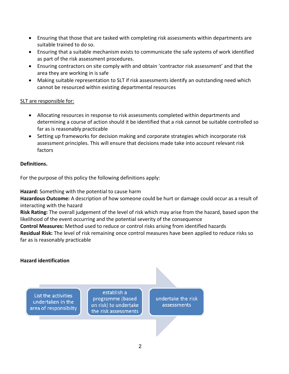- Ensuring that those that are tasked with completing risk assessments within departments are suitable trained to do so.
- Ensuring that a suitable mechanism exists to communicate the safe systems of work identified as part of the risk assessment procedures.
- Ensuring contractors on site comply with and obtain 'contractor risk assessment' and that the area they are working in is safe
- Making suitable representation to SLT if risk assessments identify an outstanding need which cannot be resourced within existing departmental resources

# SLT are responsible for:

- Allocating resources in response to risk assessments completed within departments and determining a course of action should it be identified that a risk cannot be suitable controlled so far as is reasonably practicable
- Setting up frameworks for decision making and corporate strategies which incorporate risk assessment principles. This will ensure that decisions made take into account relevant risk factors

# **Definitions.**

For the purpose of this policy the following definitions apply:

**Hazard:** Something with the potential to cause harm

**Hazardous Outcome:** A description of how someone could be hurt or damage could occur as a result of interacting with the hazard

**Risk Rating:** The overall judgement of the level of risk which may arise from the hazard, based upon the likelihood of the event occurring and the potential severity of the consequence

**Control Measures:** Method used to reduce or control risks arising from identified hazards

**Residual Risk:** The level of risk remaining once control measures have been applied to reduce risks so far as is reasonably practicable

# **Hazard identification**

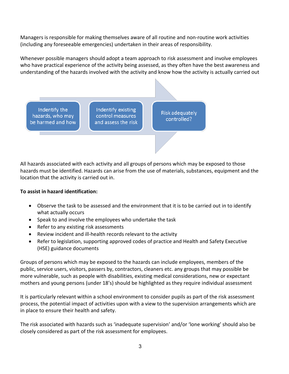Managers is responsible for making themselves aware of all routine and non-routine work activities (including any foreseeable emergencies) undertaken in their areas of responsibility.

Whenever possible managers should adopt a team approach to risk assessment and involve employees who have practical experience of the activity being assessed, as they often have the best awareness and understanding of the hazards involved with the activity and know how the activity is actually carried out



All hazards associated with each activity and all groups of persons which may be exposed to those hazards must be identified. Hazards can arise from the use of materials, substances, equipment and the location that the activity is carried out in.

# **To assist in hazard identification:**

- Observe the task to be assessed and the environment that it is to be carried out in to identify what actually occurs
- Speak to and involve the employees who undertake the task
- Refer to any existing risk assessments
- Review incident and ill-health records relevant to the activity
- Refer to legislation, supporting approved codes of practice and Health and Safety Executive (HSE) guidance documents

Groups of persons which may be exposed to the hazards can include employees, members of the public, service users, visitors, passers by, contractors, cleaners etc. any groups that may possible be more vulnerable, such as people with disabilities, existing medical considerations, new or expectant mothers and young persons (under 18's) should be highlighted as they require individual assessment

It is particularly relevant within a school environment to consider pupils as part of the risk assessment process, the potential impact of activities upon with a view to the supervision arrangements which are in place to ensure their health and safety.

The risk associated with hazards such as 'inadequate supervision' and/or 'lone working' should also be closely considered as part of the risk assessment for employees.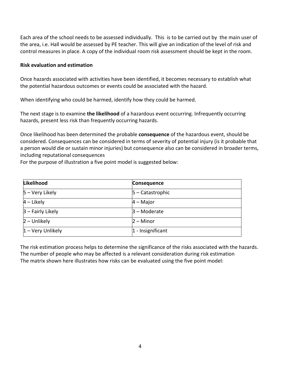Each area of the school needs to be assessed individually. This is to be carried out by the main user of the area, i.e. Hall would be assessed by PE teacher. This will give an indication of the level of risk and control measures in place. A copy of the individual room risk assessment should be kept in the room.

#### **Risk evaluation and estimation**

Once hazards associated with activities have been identified, it becomes necessary to establish what the potential hazardous outcomes or events could be associated with the hazard.

When identifying who could be harmed, identify how they could be harmed.

The next stage is to examine **the likelihood** of a hazardous event occurring. Infrequently occurring hazards, present less risk than frequently occurring hazards.

Once likelihood has been determined the probable **consequence** of the hazardous event, should be considered. Consequences can be considered in terms of severity of potential injury (is it probable that a person would die or sustain minor injuries) but consequence also can be considered in broader terms, including reputational consequences

For the purpose of illustration a five point model is suggested below:

| Likelihood          | Consequence          |
|---------------------|----------------------|
| $5 -$ Very Likely   | $5 -$ Catastrophic   |
| $4$ – Likely        | $4 - Major$          |
| $3$ – Fairly Likely | $3 -$ Moderate       |
| $2$ – Unlikely      | $2 -$ Minor          |
| $1 -$ Very Unlikely | $ 1 -$ Insignificant |

The risk estimation process helps to determine the significance of the risks associated with the hazards. The number of people who may be affected is a relevant consideration during risk estimation The matrix shown here illustrates how risks can be evaluated using the five point model: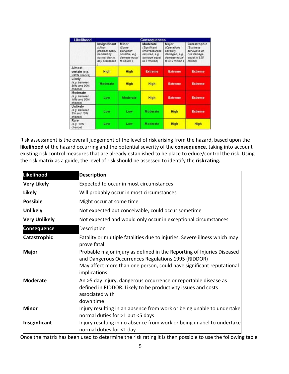| <b>Likelihood</b>                                   | <b>Consequences</b>                                                                       |                                                                               |                                                                                               |                                                                                         |                                                                                          |
|-----------------------------------------------------|-------------------------------------------------------------------------------------------|-------------------------------------------------------------------------------|-----------------------------------------------------------------------------------------------|-----------------------------------------------------------------------------------------|------------------------------------------------------------------------------------------|
|                                                     | Insignificant<br>(Minor<br>problem easily<br>handled by<br>normal day to<br>day processes | Minor<br>(Some<br>disruption<br>possible, e.g.<br>damage equal<br>to \$500k ) | Moderate<br>(Significant<br>time/resources<br>required, e.g.<br>damage equal<br>to S1million) | Major<br>(Operations)<br>severely<br>damaged, e.g.<br>damage equal<br>to \$10 million ) | Catastrophic<br>(Business)<br>survival is at<br>risk damage<br>equal to \$25<br>Million) |
| Almost<br>certain (e.g.<br>>90% chance)             | <b>High</b>                                                                               | <b>High</b>                                                                   | <b>Extreme</b>                                                                                | <b>Extreme</b>                                                                          | <b>Extreme</b>                                                                           |
| Likely<br>(e.g. between<br>50% and 90%<br>chance)   | Moderate                                                                                  | High                                                                          | <b>High</b>                                                                                   | <b>Extreme</b>                                                                          | <b>Extreme</b>                                                                           |
| Moderate<br>(e.g. between<br>10% and 50%<br>chance) | Low                                                                                       | <b>Moderate</b>                                                               | <b>High</b>                                                                                   | <b>Extreme</b>                                                                          | Extreme                                                                                  |
| Unlikely<br>(e.g. between<br>3% and 10%<br>chance)  | Low                                                                                       | Low                                                                           | <b>Moderate</b>                                                                               | <b>High</b>                                                                             | <b>Extreme</b>                                                                           |
| Rare<br>$(e.g. < 3\%$<br>chancel                    | Low                                                                                       | Low                                                                           | Moderate                                                                                      | <b>High</b>                                                                             | <b>High</b>                                                                              |

Risk assessment is the overall judgement of the level of risk arising from the hazard, based upon the **likelihood** of the hazard occurring and the potential severity of the **consequence**, taking into account existing risk control measures that are already established to be place to educe/control the risk. Using the risk matrix as a guide, the level of risk should be assessed to identify the **risk rating.** 

| <b>Likelihood</b>    | <b>Description</b>                                                                                                                                                                                                    |  |
|----------------------|-----------------------------------------------------------------------------------------------------------------------------------------------------------------------------------------------------------------------|--|
| <b>Very Likely</b>   | Expected to occur in most circumstances                                                                                                                                                                               |  |
| <b>Likely</b>        | Will probably occur in most circumstances                                                                                                                                                                             |  |
| <b>Possible</b>      | Might occur at some time                                                                                                                                                                                              |  |
| <b>Unlikely</b>      | Not expected but conceivable, could occur sometime                                                                                                                                                                    |  |
| <b>Very Unlikely</b> | Not expected and would only occur in exceptional circumstances                                                                                                                                                        |  |
| <b>Consequence</b>   | Description                                                                                                                                                                                                           |  |
| <b>Catastrophic</b>  | Fatality or multiple fatalities due to injuries. Severe illness which may<br>prove fatal                                                                                                                              |  |
| <b>Major</b>         | Probable major injury as defined in the Reporting of Injuries Diseased<br>and Dangerous Occurrences Regulations 1995 (RIDDOR)<br>May affect more than one person, could have significant reputational<br>implications |  |
| <b>Moderate</b>      | An >5 day injury, dangerous occurrence or reportable disease as<br>defined in RIDDOR. Likely to be productivity issues and costs<br>associated with<br>down time                                                      |  |
| <b>Minor</b>         | Injury resulting in an absence from work or being unable to undertake<br>normal duties for >1 but <5 days                                                                                                             |  |
| Insiginficant        | Injury resulting in no absence from work or being unabel to undertake<br>normal duties for <1 day                                                                                                                     |  |

Once the matrix has been used to determine the risk rating it is then possible to use the following table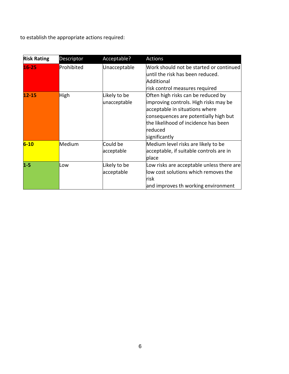to establish the appropriate actions required:

| <b>Risk Rating</b> | Descriptor | Acceptable?                  | Actions                                                                                                                                                                                                                     |
|--------------------|------------|------------------------------|-----------------------------------------------------------------------------------------------------------------------------------------------------------------------------------------------------------------------------|
| $16 - 25$          | Prohibited | Unacceptable                 | Work should not be started or continued<br>until the risk has been reduced.<br>Additional<br>risk control measures required                                                                                                 |
| $12 - 15$          | High       | Likely to be<br>unacceptable | Often high risks can be reduced by<br>improving controls. High risks may be<br>acceptable in situations where<br>consequences are potentially high but<br>the likelihood of incidence has been<br>lreduced<br>significantly |
| $6 - 10$           | Medium     | Could be<br>acceptable       | Medium level risks are likely to be<br>acceptable, if suitable controls are in<br>place                                                                                                                                     |
| $1 - 5$            | Low        | Likely to be<br>acceptable   | Low risks are acceptable unless there are<br>low cost solutions which removes the<br>risk<br>and improves th working environment                                                                                            |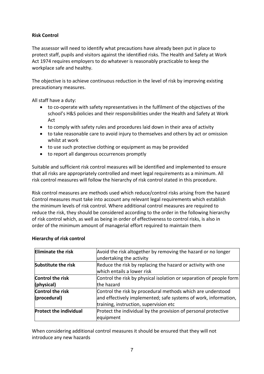# **Risk Control**

The assessor will need to identify what precautions have already been put in place to protect staff, pupils and visitors against the identified risks. The Health and Safety at Work Act 1974 requires employers to do whatever is reasonably practicable to keep the workplace safe and healthy.

The objective is to achieve continuous reduction in the level of risk by improving existing precautionary measures.

All staff have a duty:

- to co-operate with safety representatives in the fulfilment of the objectives of the school's H&S policies and their responsibilities under the Health and Safety at Work Act
- to comply with safety rules and procedures laid down in their area of activity
- to take reasonable care to avoid injury to themselves and others by act or omission whilst at work
- to use such protective clothing or equipment as may be provided
- to report all dangerous occurrences promptly

Suitable and sufficient risk control measures will be identified and implemented to ensure that all risks are appropriately controlled and meet legal requirements as a minimum. All risk control measures will follow the hierarchy of risk control stated in this procedure.

Risk control measures are methods used which reduce/control risks arising from the hazard Control measures must take into account any relevant legal requirements which establish the minimum levels of risk control. Where additional control measures are required to reduce the risk, they should be considered according to the order in the following hierarchy of risk control which, as well as being in order of effectiveness to control risks, is also in order of the minimum amount of managerial effort required to maintain them

| <b>Eliminate the risk</b>     | Avoid the risk altogether by removing the hazard or no longer       |
|-------------------------------|---------------------------------------------------------------------|
|                               | undertaking the activity                                            |
| Substitute the risk           | Reduce the risk by replacing the hazard or activity with one        |
|                               | which entails a lower risk                                          |
| <b>Control the risk</b>       | Control the risk by physical isolation or separation of people form |
| (physical)                    | the hazard                                                          |
| Control the risk              | Control the risk by procedural methods which are understood         |
| (procedural)                  | and effectively implemented; safe systems of work, information,     |
|                               | training, instruction, supervision etc                              |
| <b>Protect the individual</b> | Protect the individual by the provision of personal protective      |
|                               | equipment                                                           |

# **Hierarchy of risk control**

When considering additional control measures it should be ensured that they will not introduce any new hazards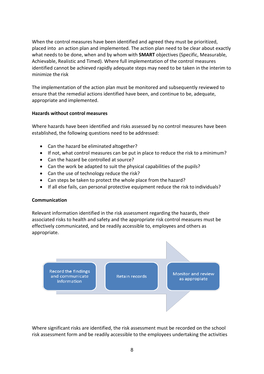When the control measures have been identified and agreed they must be prioritized, placed into an action plan and implemented. The action plan need to be clear about exactly what needs to be done, when and by whom with **SMART** objectives (Specific, Measurable, Achievable, Realistic and Timed). Where full implementation of the control measures identified cannot be achieved rapidly adequate steps may need to be taken in the interim to minimize the risk

The implementation of the action plan must be monitored and subsequently reviewed to ensure that the remedial actions identified have been, and continue to be, adequate, appropriate and implemented.

#### **Hazards without control measures**

Where hazards have been identified and risks assessed by no control measures have been established, the following questions need to be addressed:

- Can the hazard be eliminated altogether?
- If not, what control measures can be put in place to reduce the risk to a minimum?
- Can the hazard be controlled at source?
- Can the work be adapted to suit the physical capabilities of the pupils?
- Can the use of technology reduce the risk?
- Can steps be taken to protect the whole place from the hazard?
- If all else fails, can personal protective equipment reduce the risk to individuals?

# **Communication**

Relevant information identified in the risk assessment regarding the hazards, their associated risks to health and safety and the appropriate risk control measures must be effectively communicated, and be readily accessible to, employees and others as appropriate.



Where significant risks are identified, the risk assessment must be recorded on the school risk assessment form and be readily accessible to the employees undertaking the activities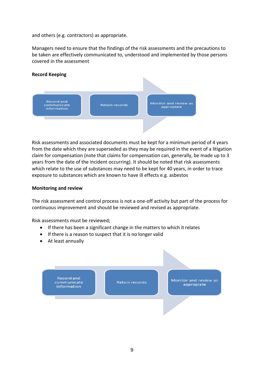and others (e.g. contractors) as appropriate.

Managers need to ensure that the findings of the risk assessments and the precautions to be taken are effectively communicated to, understood and implemented by those persons covered in the assessment

# **Record Keeping**



Risk assessments and associated documents must be kept for a minimum period of 4 years from the date which they are superseded as they may be required in the event of a litigation claim for compensation (note that claims for compensation can, generally, be made up to 3 years from the date of the incident occurring). It should be noted that risk assessments which relate to the use of substances may need to be kept for 40 years, in order to trace exposure to substances which are known to have ill effects e.g. asbestos

#### **Monitoring and review**

The risk assessment and control process is not a one-off activity but part of the process for continuous improvement and should be reviewed and revised as appropriate.

#### Risk assessments must be reviewed;

- If there has been a significant change in the matters to which it relates
- If there is a reason to suspect that it is no longer valid
- At least annually